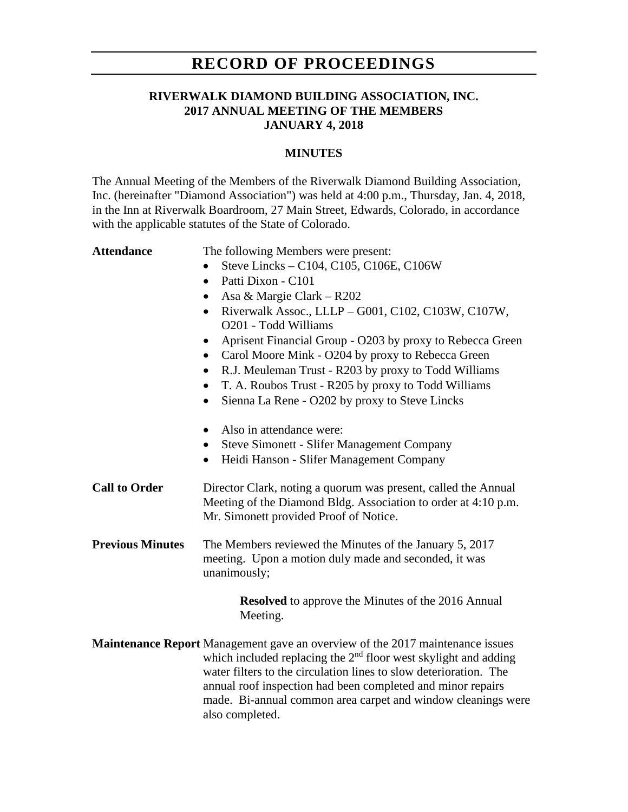# **RECORD OF PROCEEDINGS**

## **RIVERWALK DIAMOND BUILDING ASSOCIATION, INC. 2017 ANNUAL MEETING OF THE MEMBERS JANUARY 4, 2018**

### **MINUTES**

The Annual Meeting of the Members of the Riverwalk Diamond Building Association, Inc. (hereinafter "Diamond Association") was held at 4:00 p.m., Thursday, Jan. 4, 2018, in the Inn at Riverwalk Boardroom, 27 Main Street, Edwards, Colorado, in accordance with the applicable statutes of the State of Colorado.

Attendance The following Members were present:

- Steve Lincks C104, C105, C106E, C106W
- Patti Dixon C101
- Asa & Margie Clark R202
- Riverwalk Assoc., LLLP G001, C102, C103W, C107W, O201 - Todd Williams
- Aprisent Financial Group O203 by proxy to Rebecca Green
- Carol Moore Mink O204 by proxy to Rebecca Green
- R.J. Meuleman Trust R203 by proxy to Todd Williams
- T. A. Roubos Trust R205 by proxy to Todd Williams
- Sienna La Rene O202 by proxy to Steve Lincks
- Also in attendance were:
- Steve Simonett Slifer Management Company
- Heidi Hanson Slifer Management Company
- **Call to Order** Director Clark, noting a quorum was present, called the Annual Meeting of the Diamond Bldg. Association to order at 4:10 p.m. Mr. Simonett provided Proof of Notice.
- **Previous Minutes** The Members reviewed the Minutes of the January 5, 2017 meeting. Upon a motion duly made and seconded, it was unanimously;

**Resolved** to approve the Minutes of the 2016 Annual Meeting.

**Maintenance Report** Management gave an overview of the 2017 maintenance issues which included replacing the  $2<sup>nd</sup>$  floor west skylight and adding water filters to the circulation lines to slow deterioration. The annual roof inspection had been completed and minor repairs made. Bi-annual common area carpet and window cleanings were also completed.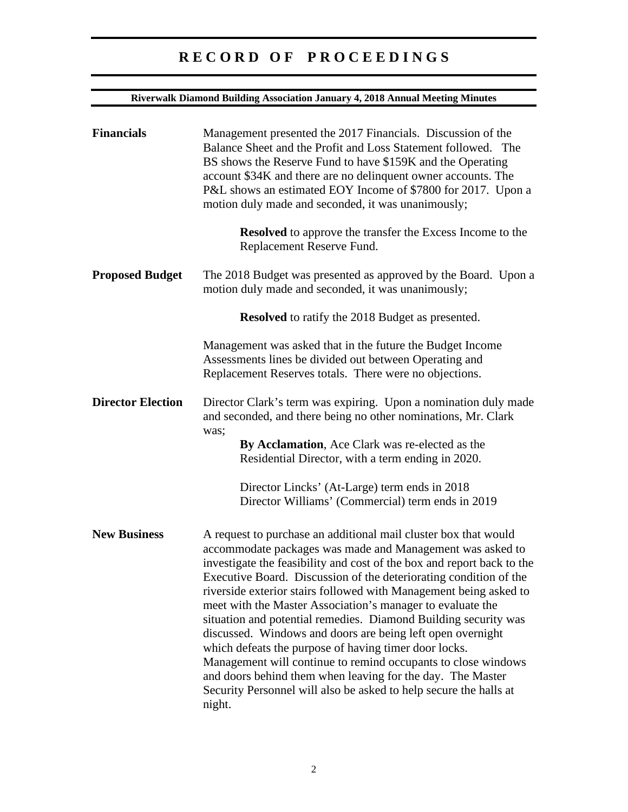| <b>Riverwalk Diamond Building Association January 4, 2018 Annual Meeting Minutes</b> |                                                                                                                                                                                                                                                                                                                                                                                                                                                                                                                                                                                                                                                                                                                                                                                                                        |
|--------------------------------------------------------------------------------------|------------------------------------------------------------------------------------------------------------------------------------------------------------------------------------------------------------------------------------------------------------------------------------------------------------------------------------------------------------------------------------------------------------------------------------------------------------------------------------------------------------------------------------------------------------------------------------------------------------------------------------------------------------------------------------------------------------------------------------------------------------------------------------------------------------------------|
| <b>Financials</b>                                                                    | Management presented the 2017 Financials. Discussion of the<br>Balance Sheet and the Profit and Loss Statement followed. The<br>BS shows the Reserve Fund to have \$159K and the Operating<br>account \$34K and there are no delinquent owner accounts. The<br>P&L shows an estimated EOY Income of \$7800 for 2017. Upon a<br>motion duly made and seconded, it was unanimously;                                                                                                                                                                                                                                                                                                                                                                                                                                      |
|                                                                                      | <b>Resolved</b> to approve the transfer the Excess Income to the<br>Replacement Reserve Fund.                                                                                                                                                                                                                                                                                                                                                                                                                                                                                                                                                                                                                                                                                                                          |
| <b>Proposed Budget</b>                                                               | The 2018 Budget was presented as approved by the Board. Upon a<br>motion duly made and seconded, it was unanimously;                                                                                                                                                                                                                                                                                                                                                                                                                                                                                                                                                                                                                                                                                                   |
|                                                                                      | <b>Resolved</b> to ratify the 2018 Budget as presented.                                                                                                                                                                                                                                                                                                                                                                                                                                                                                                                                                                                                                                                                                                                                                                |
|                                                                                      | Management was asked that in the future the Budget Income<br>Assessments lines be divided out between Operating and<br>Replacement Reserves totals. There were no objections.                                                                                                                                                                                                                                                                                                                                                                                                                                                                                                                                                                                                                                          |
| <b>Director Election</b>                                                             | Director Clark's term was expiring. Upon a nomination duly made<br>and seconded, and there being no other nominations, Mr. Clark<br>was;                                                                                                                                                                                                                                                                                                                                                                                                                                                                                                                                                                                                                                                                               |
|                                                                                      | By Acclamation, Ace Clark was re-elected as the<br>Residential Director, with a term ending in 2020.                                                                                                                                                                                                                                                                                                                                                                                                                                                                                                                                                                                                                                                                                                                   |
|                                                                                      | Director Lincks' (At-Large) term ends in 2018<br>Director Williams' (Commercial) term ends in 2019                                                                                                                                                                                                                                                                                                                                                                                                                                                                                                                                                                                                                                                                                                                     |
| <b>New Business</b>                                                                  | A request to purchase an additional mail cluster box that would<br>accommodate packages was made and Management was asked to<br>investigate the feasibility and cost of the box and report back to the<br>Executive Board. Discussion of the deteriorating condition of the<br>riverside exterior stairs followed with Management being asked to<br>meet with the Master Association's manager to evaluate the<br>situation and potential remedies. Diamond Building security was<br>discussed. Windows and doors are being left open overnight<br>which defeats the purpose of having timer door locks.<br>Management will continue to remind occupants to close windows<br>and doors behind them when leaving for the day. The Master<br>Security Personnel will also be asked to help secure the halls at<br>night. |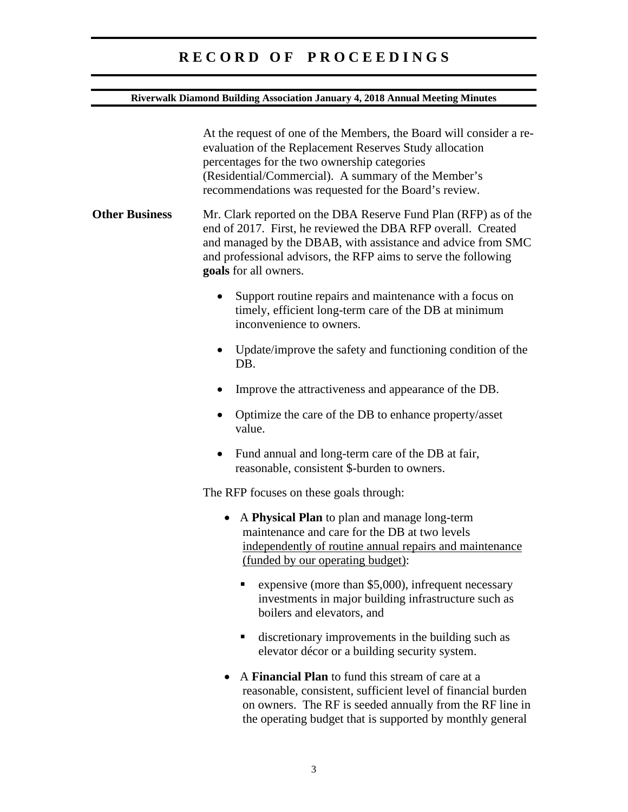## **Riverwalk Diamond Building Association January 4, 2018 Annual Meeting Minutes**

|                       | At the request of one of the Members, the Board will consider a re-<br>evaluation of the Replacement Reserves Study allocation<br>percentages for the two ownership categories<br>(Residential/Commercial). A summary of the Member's<br>recommendations was requested for the Board's review. |
|-----------------------|------------------------------------------------------------------------------------------------------------------------------------------------------------------------------------------------------------------------------------------------------------------------------------------------|
| <b>Other Business</b> | Mr. Clark reported on the DBA Reserve Fund Plan (RFP) as of the<br>end of 2017. First, he reviewed the DBA RFP overall. Created<br>and managed by the DBAB, with assistance and advice from SMC<br>and professional advisors, the RFP aims to serve the following<br>goals for all owners.     |
|                       | Support routine repairs and maintenance with a focus on<br>timely, efficient long-term care of the DB at minimum<br>inconvenience to owners.                                                                                                                                                   |
|                       | Update/improve the safety and functioning condition of the<br>$\bullet$<br>DB.                                                                                                                                                                                                                 |
|                       | Improve the attractiveness and appearance of the DB.                                                                                                                                                                                                                                           |
|                       | Optimize the care of the DB to enhance property/asset<br>value.                                                                                                                                                                                                                                |
|                       | Fund annual and long-term care of the DB at fair,<br>reasonable, consistent \$-burden to owners.                                                                                                                                                                                               |
|                       | The RFP focuses on these goals through:                                                                                                                                                                                                                                                        |
|                       | A Physical Plan to plan and manage long-term<br>maintenance and care for the DB at two levels<br>independently of routine annual repairs and maintenance<br>(funded by our operating budget):                                                                                                  |
|                       | expensive (more than \$5,000), infrequent necessary<br>investments in major building infrastructure such as<br>boilers and elevators, and                                                                                                                                                      |
|                       | discretionary improvements in the building such as<br>п,<br>elevator décor or a building security system.                                                                                                                                                                                      |
|                       | A Financial Plan to fund this stream of care at a<br>reasonable, consistent, sufficient level of financial burden<br>on owners. The RF is seeded annually from the RF line in                                                                                                                  |

the operating budget that is supported by monthly general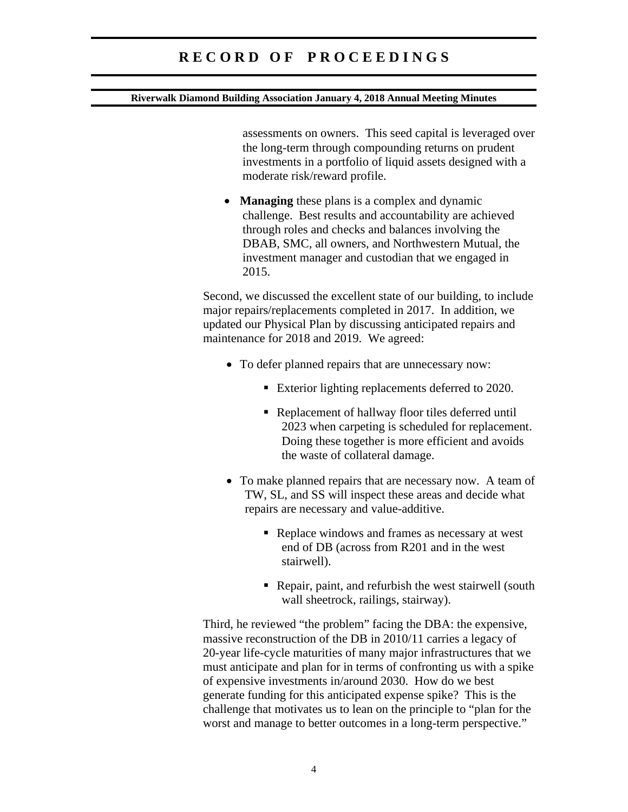#### **Riverwalk Diamond Building Association January 4, 2018 Annual Meeting Minutes**

assessments on owners. This seed capital is leveraged over the long-term through compounding returns on prudent investments in a portfolio of liquid assets designed with a moderate risk/reward profile.

• **Managing** these plans is a complex and dynamic challenge. Best results and accountability are achieved through roles and checks and balances involving the DBAB, SMC, all owners, and Northwestern Mutual, the investment manager and custodian that we engaged in 2015.

Second, we discussed the excellent state of our building, to include major repairs/replacements completed in 2017. In addition, we updated our Physical Plan by discussing anticipated repairs and maintenance for 2018 and 2019. We agreed:

- To defer planned repairs that are unnecessary now:
	- Exterior lighting replacements deferred to 2020.
	- Replacement of hallway floor tiles deferred until 2023 when carpeting is scheduled for replacement. Doing these together is more efficient and avoids the waste of collateral damage.
- To make planned repairs that are necessary now. A team of TW, SL, and SS will inspect these areas and decide what repairs are necessary and value-additive.
	- Replace windows and frames as necessary at west end of DB (across from R201 and in the west stairwell).
	- Repair, paint, and refurbish the west stairwell (south wall sheetrock, railings, stairway).

Third, he reviewed "the problem" facing the DBA: the expensive, massive reconstruction of the DB in 2010/11 carries a legacy of 20-year life-cycle maturities of many major infrastructures that we must anticipate and plan for in terms of confronting us with a spike of expensive investments in/around 2030. How do we best generate funding for this anticipated expense spike? This is the challenge that motivates us to lean on the principle to "plan for the worst and manage to better outcomes in a long-term perspective."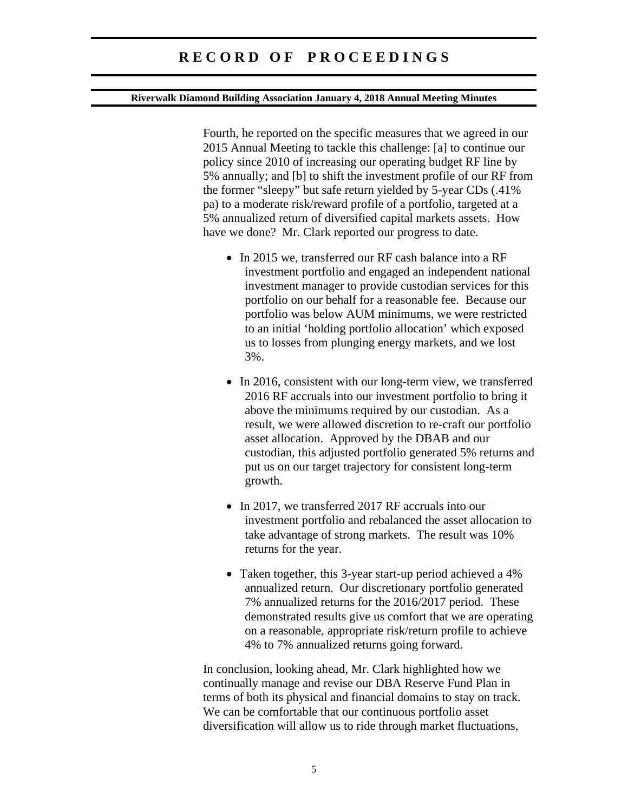#### **Riverwalk Diamond Building Association January 4, 2018 Annual Meeting Minutes**

Fourth, he reported on the specific measures that we agreed in our 2015 Annual Meeting to tackle this challenge: [a] to continue our policy since 2010 of increasing our operating budget RF line by 5% annually; and [b] to shift the investment profile of our RF from the former "sleepy" but safe return yielded by 5-year CDs (.41% pa) to a moderate risk/reward profile of a portfolio, targeted at a 5% annualized return of diversified capital markets assets. How have we done? Mr. Clark reported our progress to date.

- In 2015 we, transferred our RF cash balance into a RF investment portfolio and engaged an independent national investment manager to provide custodian services for this portfolio on our behalf for a reasonable fee. Because our portfolio was below AUM minimums, we were restricted to an initial 'holding portfolio allocation' which exposed us to losses from plunging energy markets, and we lost 3%.
- In 2016, consistent with our long-term view, we transferred 2016 RF accruals into our investment portfolio to bring it above the minimums required by our custodian. As a result, we were allowed discretion to re-craft our portfolio asset allocation. Approved by the DBAB and our custodian, this adjusted portfolio generated 5% returns and put us on our target trajectory for consistent long-term growth.
- In 2017, we transferred 2017 RF accruals into our investment portfolio and rebalanced the asset allocation to take advantage of strong markets. The result was 10% returns for the year.
- Taken together, this 3-year start-up period achieved a 4% annualized return. Our discretionary portfolio generated 7% annualized returns for the 2016/2017 period. These demonstrated results give us comfort that we are operating on a reasonable, appropriate risk/return profile to achieve 4% to 7% annualized returns going forward.

In conclusion, looking ahead, Mr. Clark highlighted how we continually manage and revise our DBA Reserve Fund Plan in terms of both its physical and financial domains to stay on track. We can be comfortable that our continuous portfolio asset diversification will allow us to ride through market fluctuations,